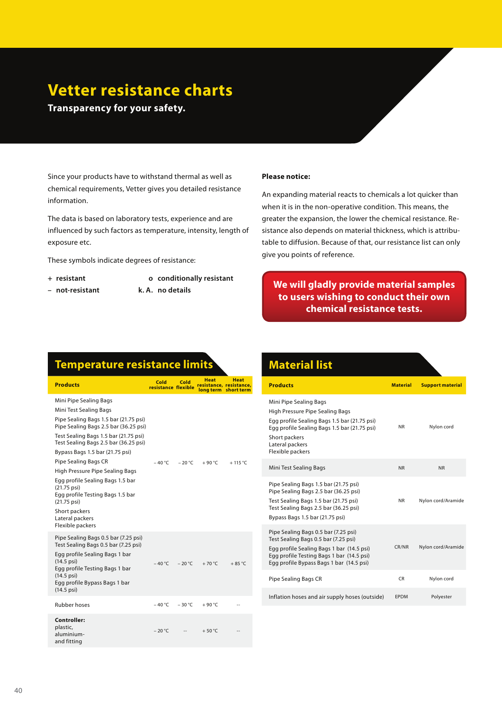## **Vetter resistance charts**

**Transparency for your safety.**

Since your products have to withstand thermal as well as chemical requirements, Vetter gives you detailed resistance information.

The data is based on laboratory tests, experience and are influenced by such factors as temperature, intensity, length of exposure etc.

These symbols indicate degrees of resistance:

- 
- **not-resistant k. A. no details**
- **+ resistant o conditionally resistant**
	-

## **Please notice:**

An expanding material reacts to chemicals a lot quicker than when it is in the non-operative condition. This means, the greater the expansion, the lower the chemical resistance. Resistance also depends on material thickness, which is attributable to diffusion. Because of that, our resistance list can only give you points of reference.

## **We will gladly provide material samples to users wishing to conduct their own chemical resistance tests.**

## **Temperature resistance limits**

| <b>Products</b>                                                                                                                                                                                                                                                                                                                                                                                                                                               | Cold<br>resistance flexible | Cold     | Heat     | <b>Heat</b><br>resistance, resistance,<br>long term short term |  |
|---------------------------------------------------------------------------------------------------------------------------------------------------------------------------------------------------------------------------------------------------------------------------------------------------------------------------------------------------------------------------------------------------------------------------------------------------------------|-----------------------------|----------|----------|----------------------------------------------------------------|--|
| Mini Pipe Sealing Bags<br>Mini Test Sealing Bags<br>Pipe Sealing Bags 1.5 bar (21.75 psi)<br>Pipe Sealing Bags 2.5 bar (36.25 psi)<br>Test Sealing Bags 1.5 bar (21.75 psi)<br>Test Sealing Bags 2.5 bar (36.25 psi)<br>Bypass Bags 1.5 bar (21.75 psi)<br>Pipe Sealing Bags CR<br>High Pressure Pipe Sealing Bags<br>Egg profile Sealing Bags 1.5 bar<br>$(21.75 \text{ psi})$<br>Egg profile Testing Bags 1.5 bar<br>$(21.75 \text{ psi})$<br>Short packers | – 40 °C                     | $-20 °C$ | $+90 °C$ | $+115 °C$                                                      |  |
| Lateral packers<br>Flexible packers                                                                                                                                                                                                                                                                                                                                                                                                                           |                             |          |          |                                                                |  |
| Pipe Sealing Bags 0.5 bar (7.25 psi)<br>Test Sealing Bags 0.5 bar (7.25 psi)<br>Egg profile Sealing Bags 1 bar<br>$(14.5 \text{ psi})$<br>Egg profile Testing Bags 1 bar<br>$(14.5 \text{ psi})$<br>Egg profile Bypass Bags 1 bar<br>$(14.5 \,\text{psi})$                                                                                                                                                                                                    | $-40 °C$                    | $-20 °C$ | $+70 °C$ | $+85^{\circ}$ C                                                |  |
| <b>Rubber hoses</b>                                                                                                                                                                                                                                                                                                                                                                                                                                           | – 40 °C                     | $-30 °C$ | $+90 °C$ |                                                                |  |
| Controller:<br>plastic,<br>aluminium-<br>and fitting                                                                                                                                                                                                                                                                                                                                                                                                          | $-20 °C$                    |          | $+50 °C$ |                                                                |  |

| <b>Material list</b>                                                                                                                                                                                               |                 |                         |
|--------------------------------------------------------------------------------------------------------------------------------------------------------------------------------------------------------------------|-----------------|-------------------------|
| <b>Products</b>                                                                                                                                                                                                    | <b>Material</b> | <b>Support material</b> |
| Mini Pipe Sealing Bags<br>High Pressure Pipe Sealing Bags<br>Egg profile Sealing Bags 1.5 bar (21.75 psi)<br>Egg profile Sealing Bags 1.5 bar (21.75 psi)<br>Short packers<br>Lateral packers<br>Flexible packers  | <b>NR</b>       | Nylon cord              |
| Mini Test Sealing Bags                                                                                                                                                                                             | <b>NR</b>       | <b>NR</b>               |
| Pipe Sealing Bags 1.5 bar (21.75 psi)<br>Pipe Sealing Bags 2.5 bar (36.25 psi)<br>Test Sealing Bags 1.5 bar (21.75 psi)<br>Test Sealing Bags 2.5 bar (36.25 psi)<br>Bypass Bags 1.5 bar (21.75 psi)                | NR.             | Nylon cord/Aramide      |
| Pipe Sealing Bags 0.5 bar (7.25 psi)<br>Test Sealing Bags 0.5 bar (7.25 psi)<br>Egg profile Sealing Bags 1 bar (14.5 psi)<br>Egg profile Testing Bags 1 bar (14.5 psi)<br>Egg profile Bypass Bags 1 bar (14.5 psi) | CR/NR           | Nylon cord/Aramide      |
| Pipe Sealing Bags CR                                                                                                                                                                                               | CR.             | Nylon cord              |
| Inflation hoses and air supply hoses (outside)                                                                                                                                                                     | <b>EPDM</b>     | Polyester               |
|                                                                                                                                                                                                                    |                 |                         |